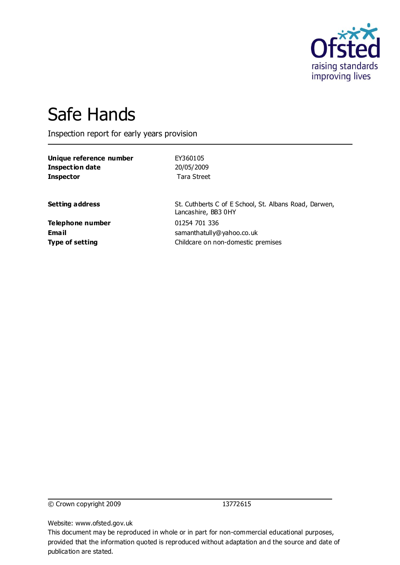

# Safe Hands

Inspection report for early years provision

| Unique reference number | EY360105                                                                     |
|-------------------------|------------------------------------------------------------------------------|
| <b>Inspection date</b>  | 20/05/2009                                                                   |
| <b>Inspector</b>        | Tara Street                                                                  |
| <b>Setting address</b>  | St. Cuthberts C of E School, St. Albans Road, Darwen,<br>Lancashire, BB3 0HY |
| Telephone number        | 01254 701 336                                                                |
| Email                   | samanthatully@yahoo.co.uk                                                    |
| <b>Type of setting</b>  | Childcare on non-domestic premises                                           |

© Crown copyright 2009 13772615

Website: www.ofsted.gov.uk

This document may be reproduced in whole or in part for non-commercial educational purposes, provided that the information quoted is reproduced without adaptation and the source and date of publication are stated.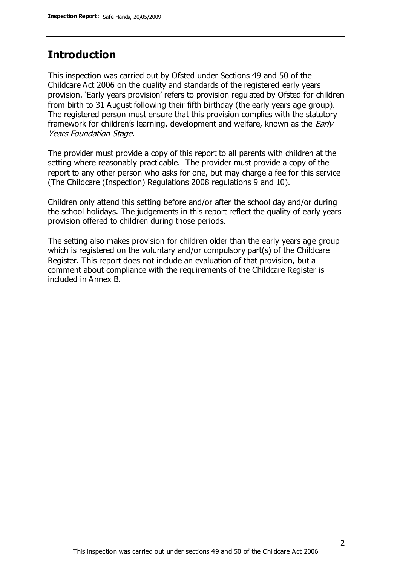## **Introduction**

This inspection was carried out by Ofsted under Sections 49 and 50 of the Childcare Act 2006 on the quality and standards of the registered early years provision. 'Early years provision' refers to provision regulated by Ofsted for children from birth to 31 August following their fifth birthday (the early years age group). The registered person must ensure that this provision complies with the statutory framework for children's learning, development and welfare, known as the *Early* Years Foundation Stage.

The provider must provide a copy of this report to all parents with children at the setting where reasonably practicable. The provider must provide a copy of the report to any other person who asks for one, but may charge a fee for this service (The Childcare (Inspection) Regulations 2008 regulations 9 and 10).

Children only attend this setting before and/or after the school day and/or during the school holidays. The judgements in this report reflect the quality of early years provision offered to children during those periods.

The setting also makes provision for children older than the early years age group which is registered on the voluntary and/or compulsory part(s) of the Childcare Register. This report does not include an evaluation of that provision, but a comment about compliance with the requirements of the Childcare Register is included in Annex B.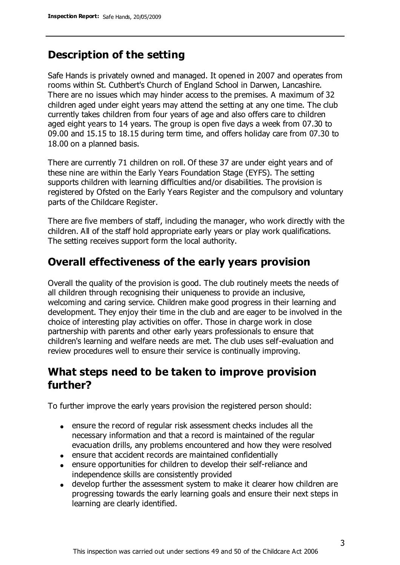# **Description of the setting**

Safe Hands is privately owned and managed. It opened in 2007 and operates from rooms within St. Cuthbert's Church of England School in Darwen, Lancashire. There are no issues which may hinder access to the premises. A maximum of 32 children aged under eight years may attend the setting at any one time. The club currently takes children from four years of age and also offers care to children aged eight years to 14 years. The group is open five days a week from 07.30 to 09.00 and 15.15 to 18.15 during term time, and offers holiday care from 07.30 to 18.00 on a planned basis.

There are currently 71 children on roll. Of these 37 are under eight years and of these nine are within the Early Years Foundation Stage (EYFS). The setting supports children with learning difficulties and/or disabilities. The provision is registered by Ofsted on the Early Years Register and the compulsory and voluntary parts of the Childcare Register.

There are five members of staff, including the manager, who work directly with the children. All of the staff hold appropriate early years or play work qualifications. The setting receives support form the local authority.

## **Overall effectiveness of the early years provision**

Overall the quality of the provision is good. The club routinely meets the needs of all children through recognising their uniqueness to provide an inclusive, welcoming and caring service. Children make good progress in their learning and development. They enjoy their time in the club and are eager to be involved in the choice of interesting play activities on offer. Those in charge work in close partnership with parents and other early years professionals to ensure that children's learning and welfare needs are met. The club uses self-evaluation and review procedures well to ensure their service is continually improving.

# **What steps need to be taken to improve provision further?**

To further improve the early years provision the registered person should:

- ensure the record of regular risk assessment checks includes all the necessary information and that a record is maintained of the regular evacuation drills, any problems encountered and how they were resolved
- ensure that accident records are maintained confidentially
- ensure opportunities for children to develop their self-reliance and independence skills are consistently provided
- develop further the assessment system to make it clearer how children are progressing towards the early learning goals and ensure their next steps in learning are clearly identified.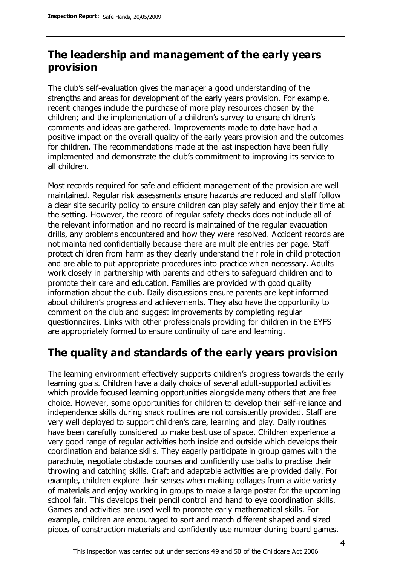# **The leadership and management of the early years provision**

The club's self-evaluation gives the manager a good understanding of the strengths and areas for development of the early years provision. For example, recent changes include the purchase of more play resources chosen by the children; and the implementation of a children's survey to ensure children's comments and ideas are gathered. Improvements made to date have had a positive impact on the overall quality of the early years provision and the outcomes for children. The recommendations made at the last inspection have been fully implemented and demonstrate the club's commitment to improving its service to all children.

Most records required for safe and efficient management of the provision are well maintained. Regular risk assessments ensure hazards are reduced and staff follow a clear site security policy to ensure children can play safely and enjoy their time at the setting. However, the record of regular safety checks does not include all of the relevant information and no record is maintained of the regular evacuation drills, any problems encountered and how they were resolved. Accident records are not maintained confidentially because there are multiple entries per page. Staff protect children from harm as they clearly understand their role in child protection and are able to put appropriate procedures into practice when necessary. Adults work closely in partnership with parents and others to safeguard children and to promote their care and education. Families are provided with good quality information about the club. Daily discussions ensure parents are kept informed about children's progress and achievements. They also have the opportunity to comment on the club and suggest improvements by completing regular questionnaires. Links with other professionals providing for children in the EYFS are appropriately formed to ensure continuity of care and learning.

# **The quality and standards of the early years provision**

The learning environment effectively supports children's progress towards the early learning goals. Children have a daily choice of several adult-supported activities which provide focused learning opportunities alongside many others that are free choice. However, some opportunities for children to develop their self-reliance and independence skills during snack routines are not consistently provided. Staff are very well deployed to support children's care, learning and play. Daily routines have been carefully considered to make best use of space. Children experience a very good range of regular activities both inside and outside which develops their coordination and balance skills. They eagerly participate in group games with the parachute, negotiate obstacle courses and confidently use balls to practise their throwing and catching skills. Craft and adaptable activities are provided daily. For example, children explore their senses when making collages from a wide variety of materials and enjoy working in groups to make a large poster for the upcoming school fair. This develops their pencil control and hand to eye coordination skills. Games and activities are used well to promote early mathematical skills. For example, children are encouraged to sort and match different shaped and sized pieces of construction materials and confidently use number during board games.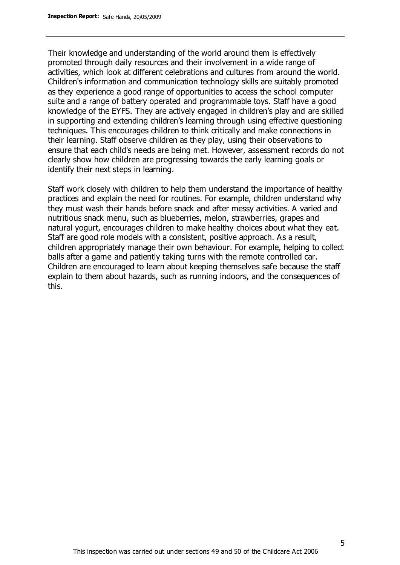Their knowledge and understanding of the world around them is effectively promoted through daily resources and their involvement in a wide range of activities, which look at different celebrations and cultures from around the world. Children's information and communication technology skills are suitably promoted as they experience a good range of opportunities to access the school computer suite and a range of battery operated and programmable toys. Staff have a good knowledge of the EYFS. They are actively engaged in children's play and are skilled in supporting and extending children's learning through using effective questioning techniques. This encourages children to think critically and make connections in their learning. Staff observe children as they play, using their observations to ensure that each child's needs are being met. However, assessment records do not clearly show how children are progressing towards the early learning goals or identify their next steps in learning.

Staff work closely with children to help them understand the importance of healthy practices and explain the need for routines. For example, children understand why they must wash their hands before snack and after messy activities. A varied and nutritious snack menu, such as blueberries, melon, strawberries, grapes and natural yogurt, encourages children to make healthy choices about what they eat. Staff are good role models with a consistent, positive approach. As a result, children appropriately manage their own behaviour. For example, helping to collect balls after a game and patiently taking turns with the remote controlled car. Children are encouraged to learn about keeping themselves safe because the staff explain to them about hazards, such as running indoors, and the consequences of this.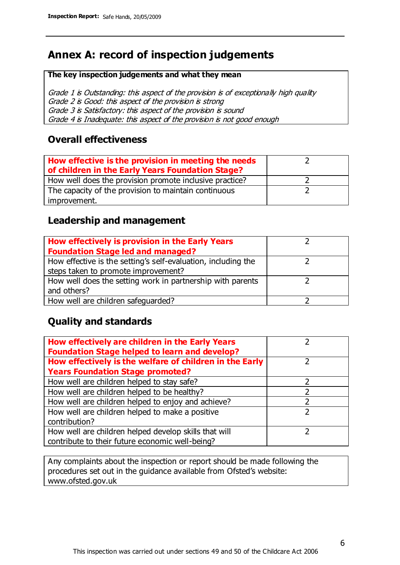# **Annex A: record of inspection judgements**

#### **The key inspection judgements and what they mean**

Grade 1 is Outstanding: this aspect of the provision is of exceptionally high quality Grade 2 is Good: this aspect of the provision is strong Grade 3 is Satisfactory: this aspect of the provision is sound Grade 4 is Inadequate: this aspect of the provision is not good enough

#### **Overall effectiveness**

| How effective is the provision in meeting the needs<br>of children in the Early Years Foundation Stage? |  |
|---------------------------------------------------------------------------------------------------------|--|
| How well does the provision promote inclusive practice?                                                 |  |
| The capacity of the provision to maintain continuous                                                    |  |
| improvement.                                                                                            |  |

### **Leadership and management**

| How effectively is provision in the Early Years               |  |
|---------------------------------------------------------------|--|
| <b>Foundation Stage led and managed?</b>                      |  |
| How effective is the setting's self-evaluation, including the |  |
| steps taken to promote improvement?                           |  |
| How well does the setting work in partnership with parents    |  |
| and others?                                                   |  |
| How well are children safequarded?                            |  |

## **Quality and standards**

| How effectively are children in the Early Years<br><b>Foundation Stage helped to learn and develop?</b> |               |
|---------------------------------------------------------------------------------------------------------|---------------|
| How effectively is the welfare of children in the Early                                                 | ר             |
| <b>Years Foundation Stage promoted?</b>                                                                 |               |
| How well are children helped to stay safe?                                                              |               |
| How well are children helped to be healthy?                                                             |               |
| How well are children helped to enjoy and achieve?                                                      | 2             |
| How well are children helped to make a positive                                                         | $\mathcal{P}$ |
| contribution?                                                                                           |               |
| How well are children helped develop skills that will                                                   |               |
| contribute to their future economic well-being?                                                         |               |

Any complaints about the inspection or report should be made following the procedures set out in the guidance available from Ofsted's website: www.ofsted.gov.uk